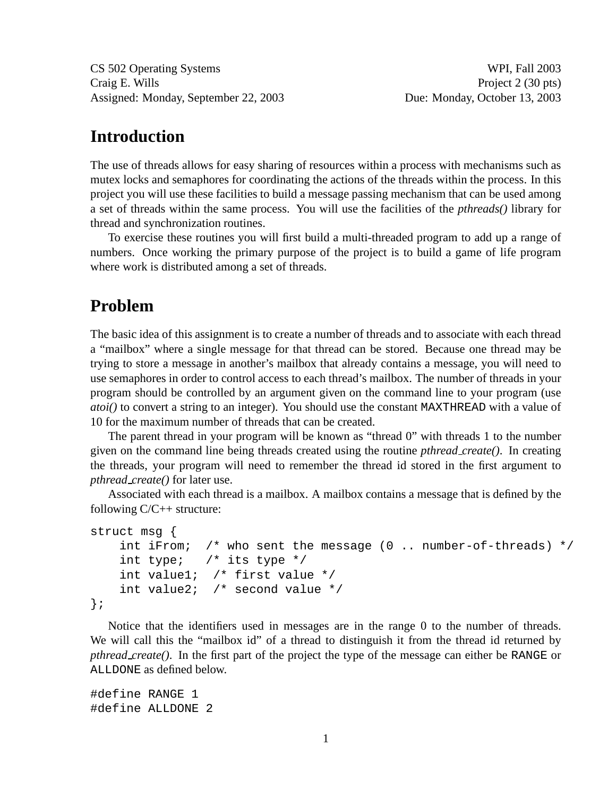CS 502 Operating Systems WPI, Fall 2003 Craig E. Wills Project 2 (30 pts) Assigned: Monday, September 22, 2003 Due: Monday, October 13, 2003

### **Introduction**

The use of threads allows for easy sharing of resources within a process with mechanisms such as mutex locks and semaphores for coordinating the actions of the threads within the process. In this project you will use these facilities to build a message passing mechanism that can be used among a set of threads within the same process. You will use the facilities of the *pthreads()* library for thread and synchronization routines.

To exercise these routines you will first build a multi-threaded program to add up a range of numbers. Once working the primary purpose of the project is to build a game of life program where work is distributed among a set of threads.

# **Problem**

The basic idea of this assignment is to create a number of threads and to associate with each thread a "mailbox" where a single message for that thread can be stored. Because one thread may be trying to store a message in another's mailbox that already contains a message, you will need to use semaphores in order to control access to each thread's mailbox. The number of threads in your program should be controlled by an argument given on the command line to your program (use *atoi()* to convert a string to an integer). You should use the constant MAXTHREAD with a value of 10 for the maximum number of threads that can be created.

The parent thread in your program will be known as "thread 0" with threads 1 to the number given on the command line being threads created using the routine *pthread create()*. In creating the threads, your program will need to remember the thread id stored in the first argument to *pthread create()* for later use.

Associated with each thread is a mailbox. A mailbox contains a message that is defined by the following C/C++ structure:

```
struct msg {
   int iFrom; /* who sent the message (0 .. number-of-threads) */
   int type; /* its type */int value1; /* first value */
   int value2; /* second value */
};
```
Notice that the identifiers used in messages are in the range 0 to the number of threads. We will call this the "mailbox id" of a thread to distinguish it from the thread id returned by *pthread create()*. In the first part of the project the type of the message can either be RANGE or ALLDONE as defined below.

#define RANGE 1 #define ALLDONE 2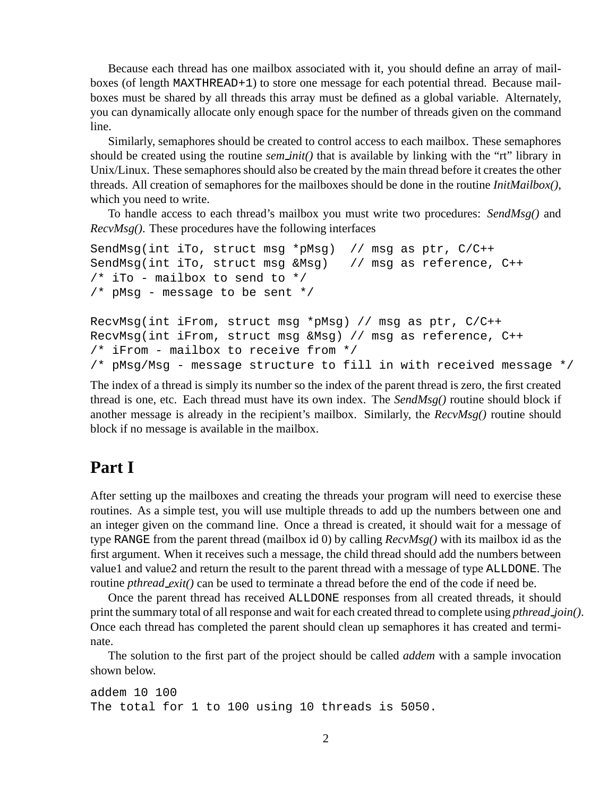Because each thread has one mailbox associated with it, you should define an array of mailboxes (of length MAXTHREAD+1) to store one message for each potential thread. Because mailboxes must be shared by all threads this array must be defined as a global variable. Alternately, you can dynamically allocate only enough space for the number of threads given on the command line.

Similarly, semaphores should be created to control access to each mailbox. These semaphores should be created using the routine *sem init()* that is available by linking with the "rt" library in Unix/Linux. These semaphores should also be created by the main thread before it creates the other threads. All creation of semaphores for the mailboxes should be done in the routine *InitMailbox()*, which you need to write.

To handle access to each thread's mailbox you must write two procedures: *SendMsg()* and *RecvMsg()*. These procedures have the following interfaces

```
SendMsg(int iTo, struct msg *pMsg) // msg as ptr, C/C++
SendMsg(int iTo, struct msg &Msg) // msg as reference, C++
/* iTo - mailbox to send to *//* pMsg - message to be sent */
RecvMsg(int iFrom, struct msg *pMsg) // msg as ptr, C/C++
RecvMsg(int iFrom, struct msg &Msg) // msg as reference, C++
/* iFrom - mailbox to receive from */
/* pMsg/Msg - message structure to fill in with received message */
```
The index of a thread is simply its number so the index of the parent thread is zero, the first created thread is one, etc. Each thread must have its own index. The *SendMsg()* routine should block if another message is already in the recipient's mailbox. Similarly, the *RecvMsg()* routine should block if no message is available in the mailbox.

# **Part I**

After setting up the mailboxes and creating the threads your program will need to exercise these routines. As a simple test, you will use multiple threads to add up the numbers between one and an integer given on the command line. Once a thread is created, it should wait for a message of type RANGE from the parent thread (mailbox id 0) by calling *RecvMsg()* with its mailbox id as the first argument. When it receives such a message, the child thread should add the numbers between value1 and value2 and return the result to the parent thread with a message of type ALLDONE. The routine *pthread exit()* can be used to terminate a thread before the end of the code if need be.

Once the parent thread has received ALLDONE responses from all created threads, it should print the summary total of all response and wait for each created thread to complete using *pthread join()*. Once each thread has completed the parent should clean up semaphores it has created and terminate.

The solution to the first part of the project should be called *addem* with a sample invocation shown below.

addem 10 100 The total for 1 to 100 using 10 threads is 5050.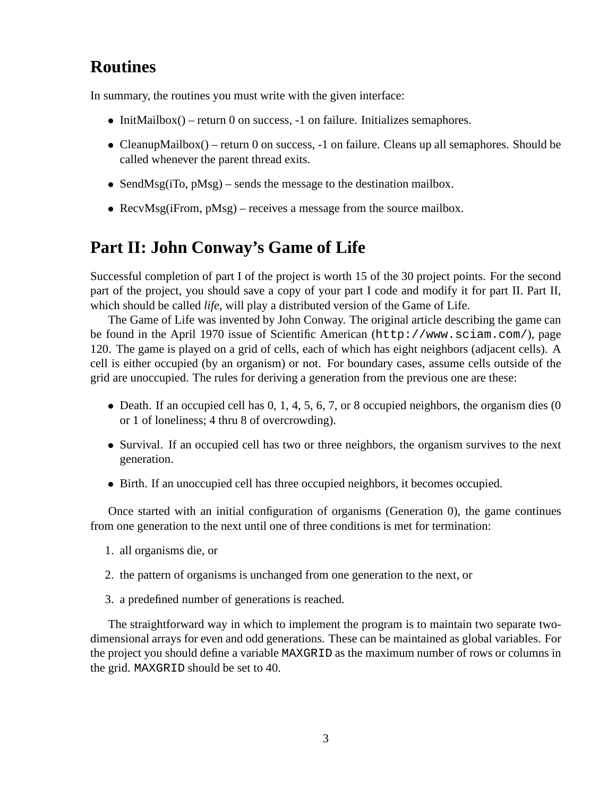# **Routines**

In summary, the routines you must write with the given interface:

- $\bullet$  InitMailbox() return 0 on success, -1 on failure. Initializes semaphores.
- CleanupMailbox() return 0 on success,  $-1$  on failure. Cleans up all semaphores. Should be called whenever the parent thread exits.
- SendMsg( $iTo, pMsg$ ) sends the message to the destination mailbox.
- RecvMsg( $i$ From,  $pMsg$ ) receives a message from the source mailbox.

### **Part II: John Conway's Game of Life**

Successful completion of part I of the project is worth 15 of the 30 project points. For the second part of the project, you should save a copy of your part I code and modify it for part II. Part II, which should be called *life*, will play a distributed version of the Game of Life.

The Game of Life was invented by John Conway. The original article describing the game can be found in the April 1970 issue of Scientific American (http://www.sciam.com/), page 120. The game is played on a grid of cells, each of which has eight neighbors (adjacent cells). A cell is either occupied (by an organism) or not. For boundary cases, assume cells outside of the grid are unoccupied. The rules for deriving a generation from the previous one are these:

- $\bullet$  Death. If an occupied cell has 0, 1, 4, 5, 6, 7, or 8 occupied neighbors, the organism dies (0 or 1 of loneliness; 4 thru 8 of overcrowding).
- Survival. If an occupied cell has two or three neighbors, the organism survives to the next generation.
- Birth. If an unoccupied cell has three occupied neighbors, it becomes occupied.

Once started with an initial configuration of organisms (Generation 0), the game continues from one generation to the next until one of three conditions is met for termination:

- 1. all organisms die, or
- 2. the pattern of organisms is unchanged from one generation to the next, or
- 3. a predefined number of generations is reached.

The straightforward way in which to implement the program is to maintain two separate twodimensional arrays for even and odd generations. These can be maintained as global variables. For the project you should define a variable MAXGRID as the maximum number of rows or columns in the grid. MAXGRID should be set to 40.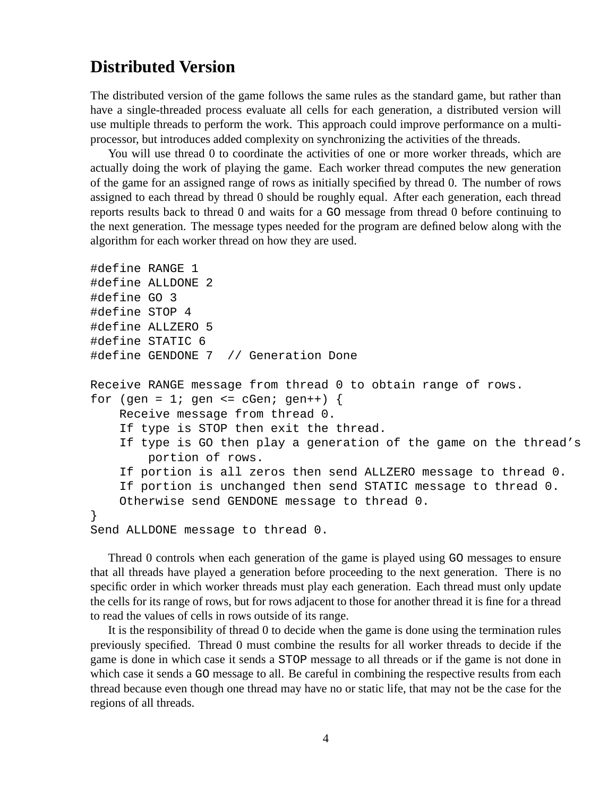#### **Distributed Version**

The distributed version of the game follows the same rules as the standard game, but rather than have a single-threaded process evaluate all cells for each generation, a distributed version will use multiple threads to perform the work. This approach could improve performance on a multiprocessor, but introduces added complexity on synchronizing the activities of the threads.

You will use thread 0 to coordinate the activities of one or more worker threads, which are actually doing the work of playing the game. Each worker thread computes the new generation of the game for an assigned range of rows as initially specified by thread 0. The number of rows assigned to each thread by thread 0 should be roughly equal. After each generation, each thread reports results back to thread 0 and waits for a GO message from thread 0 before continuing to the next generation. The message types needed for the program are defined below along with the algorithm for each worker thread on how they are used.

```
#define RANGE 1
#define ALLDONE 2
#define GO 3
#define STOP 4
#define ALLZERO 5
#define STATIC 6
#define GENDONE 7 // Generation Done
Receive RANGE message from thread 0 to obtain range of rows.
for (gen = 1; gen <= cGen; gen++) {
    Receive message from thread 0.
    If type is STOP then exit the thread.
    If type is GO then play a generation of the game on the thread's
        portion of rows.
    If portion is all zeros then send ALLZERO message to thread 0.
    If portion is unchanged then send STATIC message to thread 0.
    Otherwise send GENDONE message to thread 0.
}
Send ALLDONE message to thread 0.
```
Thread 0 controls when each generation of the game is played using GO messages to ensure that all threads have played a generation before proceeding to the next generation. There is no specific order in which worker threads must play each generation. Each thread must only update the cells for its range of rows, but for rows adjacent to those for another thread it is fine for a thread to read the values of cells in rows outside of its range.

It is the responsibility of thread 0 to decide when the game is done using the termination rules previously specified. Thread 0 must combine the results for all worker threads to decide if the game is done in which case it sends a STOP message to all threads or if the game is not done in which case it sends a GO message to all. Be careful in combining the respective results from each thread because even though one thread may have no or static life, that may not be the case for the regions of all threads.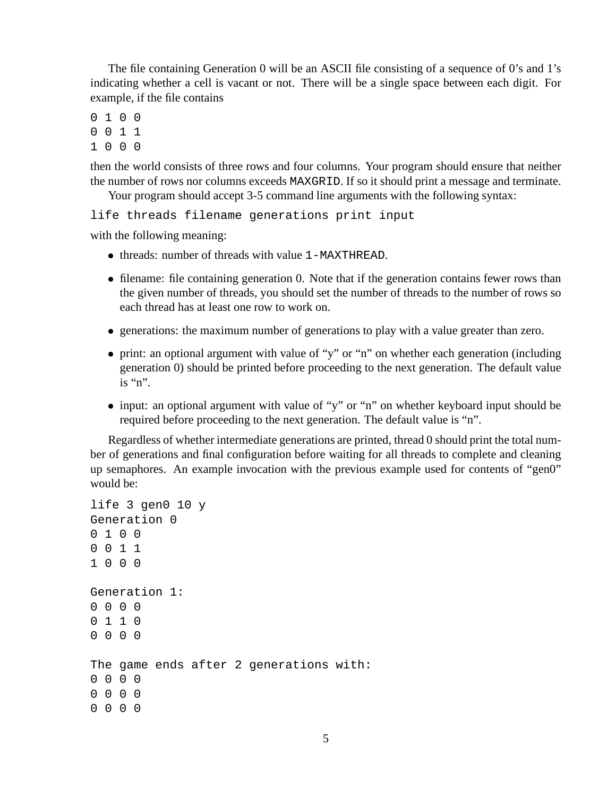The file containing Generation 0 will be an ASCII file consisting of a sequence of 0's and 1's indicating whether a cell is vacant or not. There will be a single space between each digit. For example, if the file contains

- 0 1 0 0
- 0 0 1 1
- 1 0 0 0

then the world consists of three rows and four columns. Your program should ensure that neither the number of rows nor columns exceeds MAXGRID. If so it should print a message and terminate.

Your program should accept 3-5 command line arguments with the following syntax:

life threads filename generations print input

with the following meaning:

- threads: number of threads with value 1-MAXTHREAD.
- filename: file containing generation 0. Note that if the generation contains fewer rows than the given number of threads, you should set the number of threads to the number of rows so each thread has at least one row to work on.
- generations: the maximum number of generations to play with a value greater than zero.
- print: an optional argument with value of "y" or "n" on whether each generation (including generation 0) should be printed before proceeding to the next generation. The default value is "n".
- input: an optional argument with value of "y" or "n" on whether keyboard input should be required before proceeding to the next generation. The default value is "n".

Regardless of whether intermediate generations are printed, thread 0 should print the total number of generations and final configuration before waiting for all threads to complete and cleaning up semaphores. An example invocation with the previous example used for contents of "gen0" would be:

```
life 3 gen0 10 y
Generation 0
0 1 0 0
0 0 1 1
1 0 0 0
Generation 1:
0 0 0 0
0 1 1 0
0 0 0 0
The game ends after 2 generations with:
0 0 0 0
0 0 0 0
0 0 0 0
```